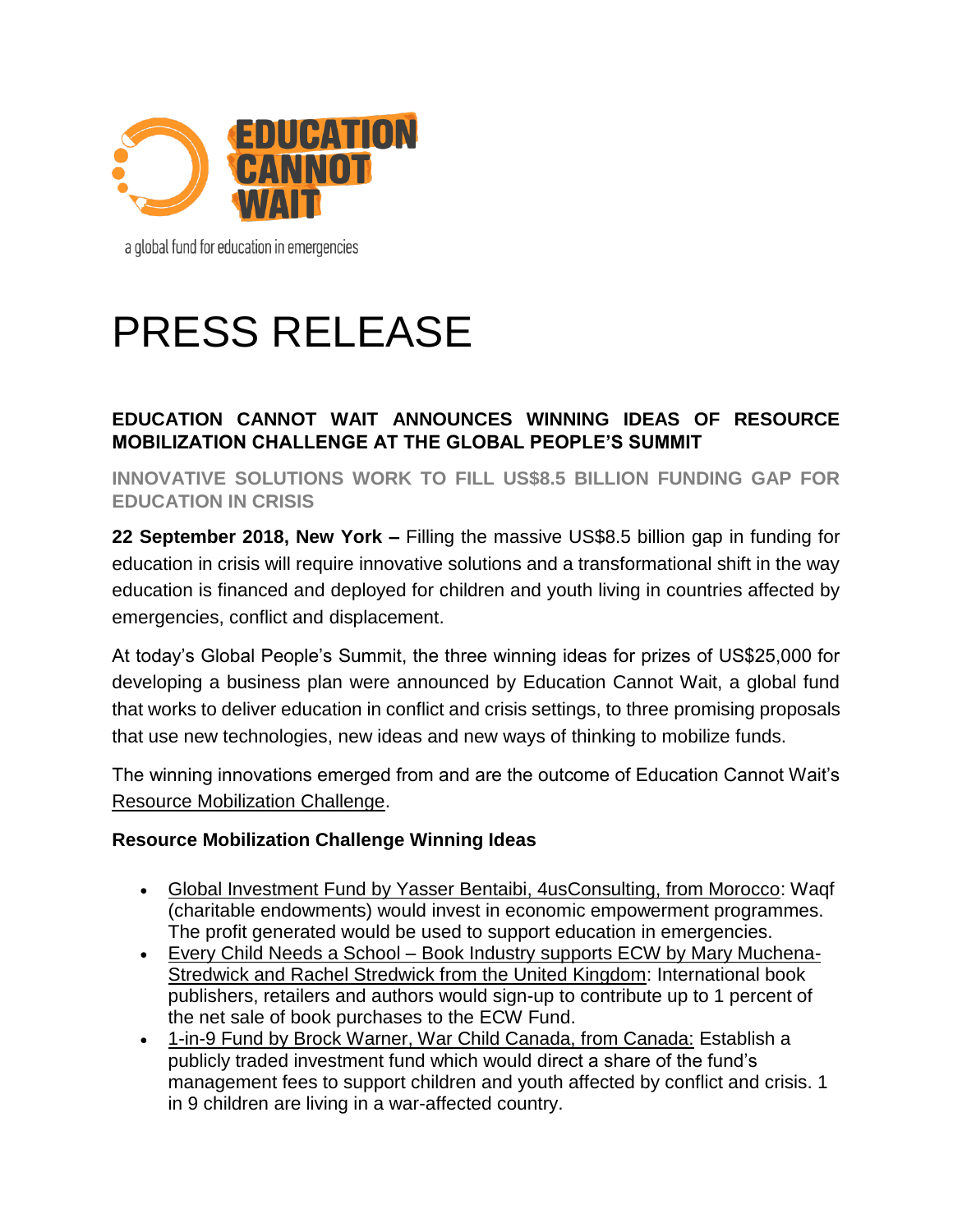

a global fund for education in emergencies

# PRESS RELEASE

# **EDUCATION CANNOT WAIT ANNOUNCES WINNING IDEAS OF RESOURCE MOBILIZATION CHALLENGE AT THE GLOBAL PEOPLE'S SUMMIT**

**INNOVATIVE SOLUTIONS WORK TO FILL US\$8.5 BILLION FUNDING GAP FOR EDUCATION IN CRISIS**

**22 September 2018, New York –** Filling the massive US\$8.5 billion gap in funding for education in crisis will require innovative solutions and a transformational shift in the way education is financed and deployed for children and youth living in countries affected by emergencies, conflict and displacement.

At today's Global People's Summit, the three winning ideas for prizes of US\$25,000 for developing a business plan were announced by Education Cannot Wait, a global fund that works to deliver education in conflict and crisis settings, to three promising proposals that use new technologies, new ideas and new ways of thinking to mobilize funds.

The winning innovations emerged from and are the outcome of Education Cannot Wait's [Resource Mobilization Challenge.](https://educationcannotwait.us18.list-manage.com/track/click?u=6baddf6a91b194dcd2e82ac11&id=ab46bf9235&e=35121d8379)

### **Resource Mobilization Challenge Winning Ideas**

- Global Investment Fund by Yasser Bentaibi, 4usConsulting, from Morocco: Waqf (charitable endowments) would invest in economic empowerment programmes. The profit generated would be used to support education in emergencies.
- Every Child Needs a School Book Industry supports ECW by Mary Muchena-Stredwick and Rachel Stredwick from the United Kingdom: International book publishers, retailers and authors would sign-up to contribute up to 1 percent of the net sale of book purchases to the ECW Fund.
- 1-in-9 Fund by Brock Warner, War Child Canada, from Canada: Establish a publicly traded investment fund which would direct a share of the fund's management fees to support children and youth affected by conflict and crisis. 1 in 9 children are living in a war-affected country.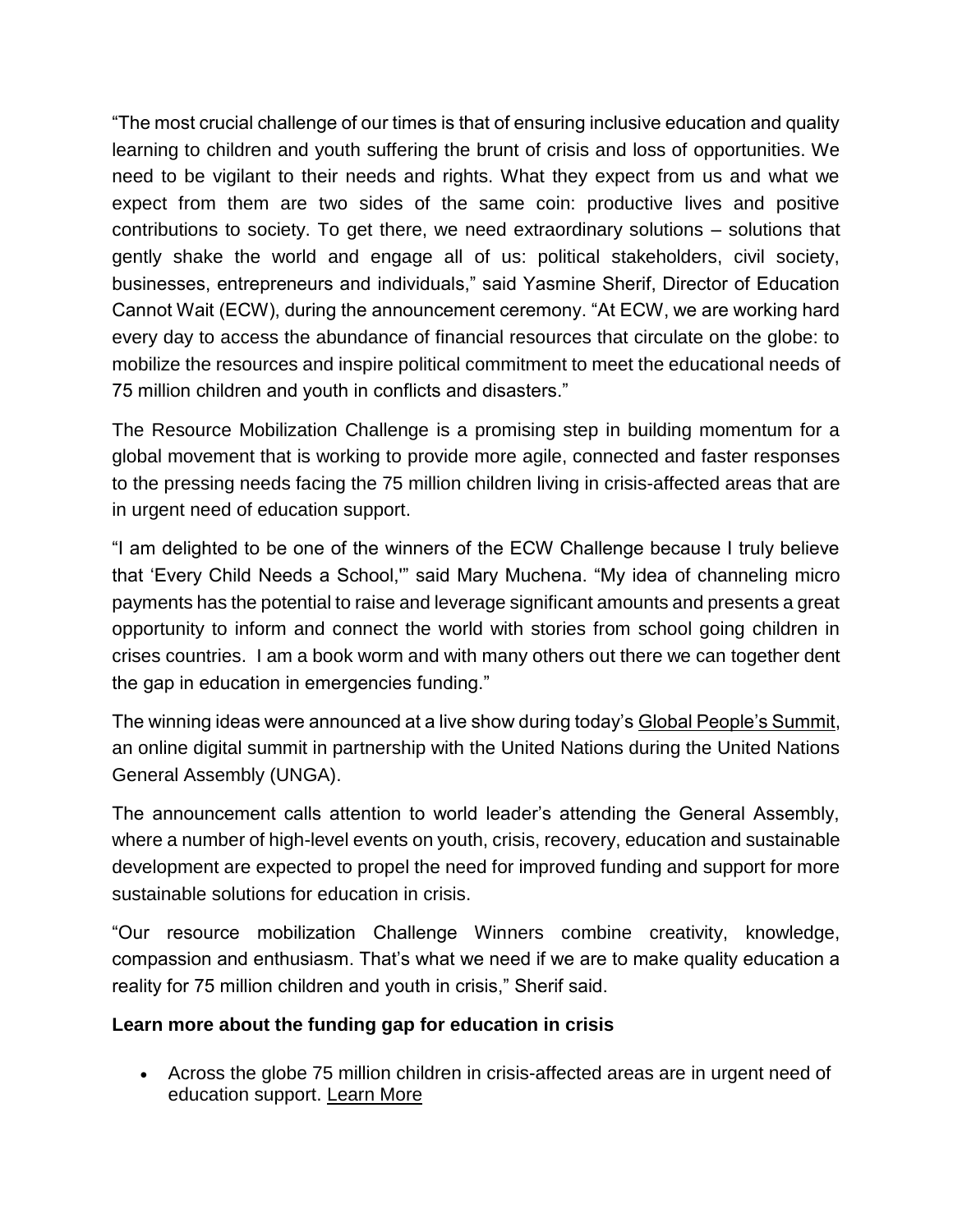"The most crucial challenge of our times is that of ensuring inclusive education and quality learning to children and youth suffering the brunt of crisis and loss of opportunities. We need to be vigilant to their needs and rights. What they expect from us and what we expect from them are two sides of the same coin: productive lives and positive contributions to society. To get there, we need extraordinary solutions – solutions that gently shake the world and engage all of us: political stakeholders, civil society, businesses, entrepreneurs and individuals," said Yasmine Sherif, Director of Education Cannot Wait (ECW), during the announcement ceremony. "At ECW, we are working hard every day to access the abundance of financial resources that circulate on the globe: to mobilize the resources and inspire political commitment to meet the educational needs of 75 million children and youth in conflicts and disasters."

The Resource Mobilization Challenge is a promising step in building momentum for a global movement that is working to provide more agile, connected and faster responses to the pressing needs facing the 75 million children living in crisis-affected areas that are in urgent need of education support.

"I am delighted to be one of the winners of the ECW Challenge because I truly believe that 'Every Child Needs a School,'" said Mary Muchena. "My idea of channeling micro payments has the potential to raise and leverage significant amounts and presents a great opportunity to inform and connect the world with stories from school going children in crises countries. I am a book worm and with many others out there we can together dent the gap in education in emergencies funding."

The winning ideas were announced at a live show during today's [Global People's Summit,](https://educationcannotwait.us18.list-manage.com/track/click?u=6baddf6a91b194dcd2e82ac11&id=99a499d031&e=35121d8379) an online digital summit in partnership with the United Nations during the United Nations General Assembly (UNGA).

The announcement calls attention to world leader's attending the General Assembly, where a number of high-level events on youth, crisis, recovery, education and sustainable development are expected to propel the need for improved funding and support for more sustainable solutions for education in crisis.

"Our resource mobilization Challenge Winners combine creativity, knowledge, compassion and enthusiasm. That's what we need if we are to make quality education a reality for 75 million children and youth in crisis," Sherif said.

# **Learn more about the funding gap for education in crisis**

• Across the globe 75 million children in crisis-affected areas are in urgent need of education support. [Learn More](https://educationcannotwait.us18.list-manage.com/track/click?u=6baddf6a91b194dcd2e82ac11&id=8fc551eba0&e=35121d8379)